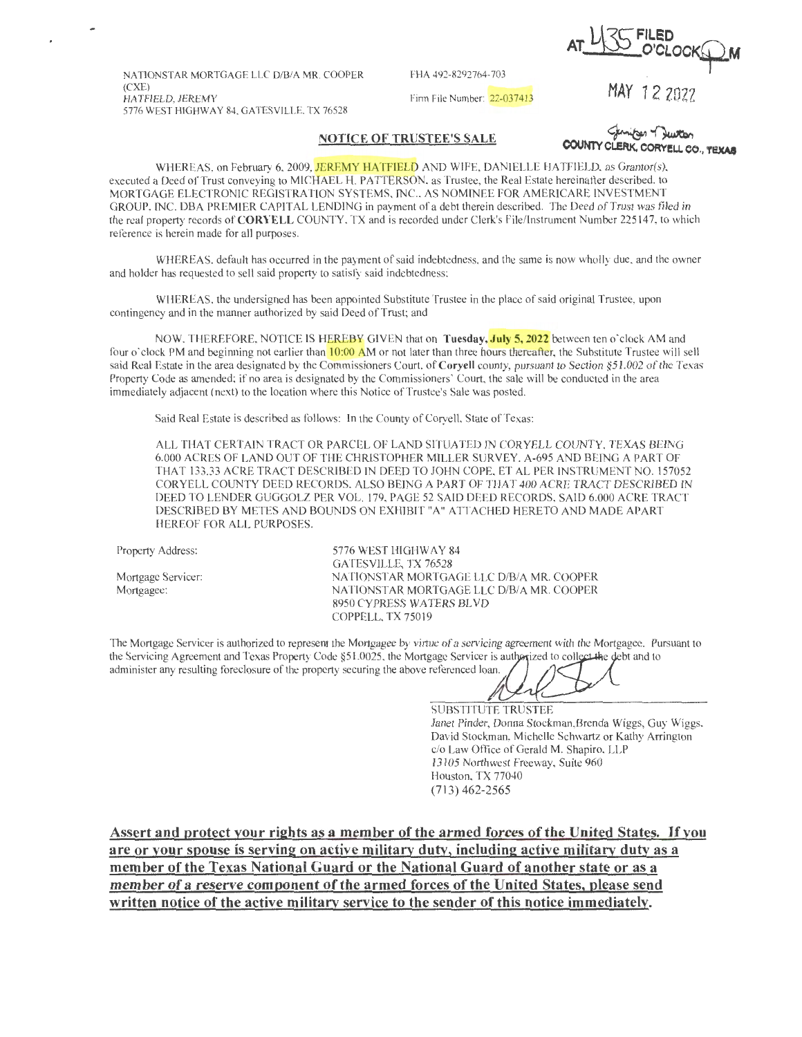$L[\sqrt[2]{5}$  FILED **AT~ O'CLOCK£P-M** 

NATIONSTAR MORTGAGE LLC D/8/A MR. COOPER (CXE) 5776 WEST HIGHWAY 84, GATESVILLE, TX 76528

FHA 492-8292764-703 Firm File Number: 22-037413 MAY 12 2022

## **NOTICE OF TRUSTEE'S SALE**

**COUNTY CLERK, CORYELL CO., TEXAS** 

WHEREAS, on February 6, 2009, JEREMY HATFIELD AND WIFE, DANIELLE HATFIELD, as Grantor(s), executed a Deed of Trust conveying to MICHAEL H. PATTERSON, as Trustee, the Real Estate hereinafter described, to MORTGAGE ELECTRONIC REGISTRATION SYSTEMS, INC., AS NOMINEE FOR AMERICARE INVESTMENT GROUP, INC. DBA PREMIER CAPITAL LENDING in payment of a debt therein described. The Deed of Trust was filed in the real property records of **CORYELL** COUNTY, TX and is recorded under Clerk's File/Instrument Number 225 147, to which reference is herein made for all purposes.

WHEREAS, default has occurred in the payment of said indebtedness, and the same is now wholly due, and the owner and holder has requested to sell said property to satisfy said indebtedness;

WHEREAS, the undersigned has been appointed Substitute Trustee in the place of said original Trustee, upon contingency and in the manner authorized by said Deed of Trust; and

NOW, THEREFORE, NOTICE IS HEREBY GIVEN that on Tuesday, July 5, 2022 between ten o'clock AM and four o'clock PM and beginning not earlier than 10:00 AM or not later than three hours thereafter, the Substitute Trustee will sell said Real Estate in the area designated by the Commissioners Court, of **Coryell** county, pursuant to Section §51.002 of the Texas Property Code as amended; if no area is designated by the Commissioners' Court, the sale will be conducted in the area immediately adjacent (next) to the location where this Notice of Trustee's Sale was posted.

Said Real Estate is described as follows: In the County of Coryell, State of Texas:

ALL THAT CERTAIN TRACT OR PARCEL OF LAND SITUATED IN CORYELL COUNTY, TEXAS BEING 6.000 ACRES OF LAND OUT OF THE CHRISTOPHER MILLER SURVEY, A-695 AND BEING A PART OF THAT 133.33 ACRE TRACT DESCRIBED IN DEED TO JOHN COPE, ET AL PER INSTRUMENT NO. 157052 CORYELL COUNTY DEED RECORDS, ALSO BEING A PART OF THAT 400 ACRE TRACT DESCRIBED IN DEED TO LENDER GUGGOLZ PER VOL. 179, PAGE 52 SAID DEED RECORDS, SAID 6.000 ACRE TRACT DESCRIBED BY METES AND BOUNDS ON EXHIBIT "A" ATTACHED HERETO AND MADE APART HEREOF FOR ALL PURPOSES.

Property Address:

Mortgage Servicer: Mortgagee:

5776 WEST HIGHWAY 84 GATESVILLE, TX 76528 NATIONSTAR MORTGAGE LLC D/B/A MR. COOPER NATIONSTAR MORTGAGE LLC D/B/A MR COOPER 8950 CYPRESS WATERS BLVD COPPELL, TX 75019

The Mortgage Servicer is authorized to represent the Mortgagee by virtue of a servicing agreement with the Mortgagee. Pursuant to The Mortgage Servicer is authorized to represent the Mortgagee by virtue of a servicing agreement with the Mortgage. Put the Servicing Agreement and Texas Property Code §51.0025, the Mortgage Servicer is authorized to coll The Mortgage Servicer is authorized to represent the Mortgagee by virtue of a servicing agreement with the Mortgagee. Purt<br>the Servicing Agreement and Texas Property Code  $$51.0025$ , the Mortgage Servicer is authorized to

SUBSTITUTE TRUSTEE Janet Pinder, Donna Stockman,Brenda Wiggs, Guy Wiggs, David Stockman, Michelle Schwartz or Kathy Arrington c/o Law Office of Gerald M. Shapiro, LLP 13105 Northwest Freeway, Suite 960 Houston, TX 77040 (713) 462-2565

**Assert and protect your rights as a member of the armed forces of the United States.** If you are or your spouse is serving on active military duty, including active military duty as a **member of the Texas National Guard or the National Guard of another state or as a member of a reserve component of the armed forces of the United States, please send written notice of the active military service to the sender of this notice immediately.**